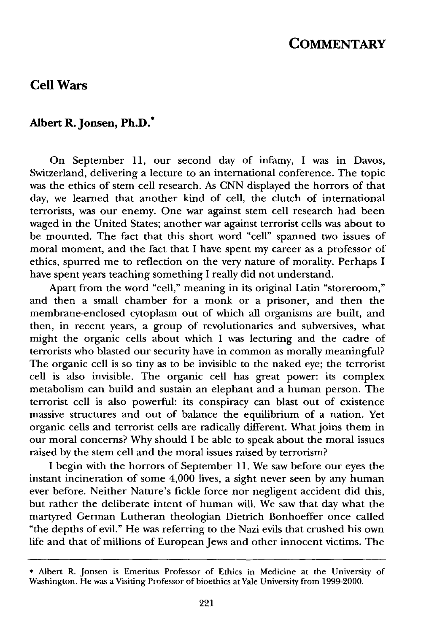## **COMMENTARY**

## **Cell Wars**

## **Albert R. Jonsen, Ph.D.\***

On September 11, our second day of infamy, I was in Davos, Switzerland, delivering a lecture to an international conference. The topic was the ethics of stem cell research. As CNN displayed the horrors of that day, we learned that another kind of cell, the clutch of international terrorists, was our enemy. One war against stem cell research had been waged in the United States; another war against terrorist cells was about to be mounted. The fact that this short word "cell" spanned two issues of moral moment, and the fact that I have spent my career as a professor of ethics, spurred me to reflection on the very nature of morality. Perhaps I have spent years teaching something I really did not understand.

Apart from the word "cell," meaning in its original Latin "storeroom," and then a small chamber for a monk or a prisoner, and then the membrane-enclosed cytoplasm out of which all organisms are built, and then, in recent years, a group of revolutionaries and subversives, what might the organic cells about which I was lecturing and the cadre of terrorists who blasted our security have in common as morally meaningful? The organic cell is so tiny as to be invisible to the naked eye; the terrorist cell is also invisible. The organic cell has great power: its complex metabolism can build and sustain an elephant and a human person. The terrorist cell is also powerful: its conspiracy can blast out of existence massive structures and out of balance the equilibrium of a nation. Yet organic cells and terrorist cells are radically different. What joins them in our moral concerns? Why should I be able to speak about the moral issues raised by the stem cell and the moral issues raised by terrorism?

I begin with the horrors of September 11. We saw before our eyes the instant incineration of some 4,000 lives, a sight never seen by any human ever before. Neither Nature's fickle force nor negligent accident did this, but rather the deliberate intent of human will. We saw that day what the martyred German Lutheran theologian Dietrich Bonhoeffer once called "the depths of evil." He was referring to the Nazi evils that crushed his own life and that of millions of European Jews and other innocent victims. The

<sup>\*</sup> Albert R. Jonsen is Emeritus Professor of Ethics in Medicine at the University of Washington. He was a Visiting Professor of bioethics at Yale University from 1999-2000.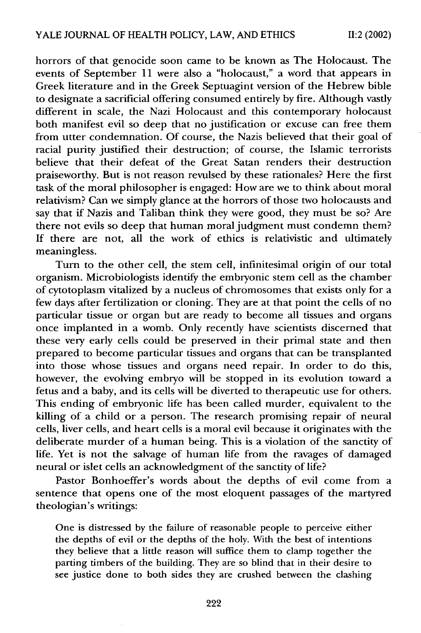horrors of that genocide soon came to be known as The Holocaust. The events of September 11 were also a "holocaust," a word that appears in Greek literature and in the Greek Septuagint version of the Hebrew bible to designate a sacrificial offering consumed entirely by fire. Although vastly different in scale, the Nazi Holocaust and this contemporary holocaust both manifest evil so deep that no justification or excuse can free them from utter condemnation. Of course, the Nazis believed that their goal of racial purity justified their destruction; of course, the Islamic terrorists believe that their defeat of the Great Satan renders their destruction praiseworthy. But is not reason revulsed by these rationales? Here the first task of the moral philosopher is engaged: How are we to think about moral relativism? Can we simply glance at the horrors of those two holocausts and say that if Nazis and Taliban think they were good, they must be so? Are there not evils so deep that human moral judgment must condemn them? If there are not, all the work of ethics is relativistic and ultimately meaningless.

Turn to the other cell, the stem cell, infinitesimal origin of our total organism. Microbiologists identify the embryonic stem cell as the chamber of cytotoplasm vitalized by a nucleus of chromosomes that exists only for a few days after fertilization or cloning. They are at that point the cells of no particular tissue or organ but are ready to become all tissues and organs once implanted in a womb. Only recently have scientists discerned that these very early cells could be preserved in their primal state and then prepared to become particular tissues and organs that can be transplanted into those whose tissues and organs need repair. In order to do this, however, the evolving embryo will be stopped in its evolution toward a fetus and a baby, and its cells will be diverted to therapeutic use for others. This ending of embryonic life has been called murder, equivalent to the killing of a child or a person. The research promising repair of neural cells, liver cells, and heart cells is a moral evil because it originates with the deliberate murder of a human being. This is a violation of the sanctity of life. Yet is not the salvage of human life from the ravages of damaged neural or islet cells an acknowledgment of the sanctity of life?

Pastor Bonhoeffer's words about the depths of evil come from a sentence that opens one of the most eloquent passages of the martyred theologian's writings:

One is distressed by the failure of reasonable people to perceive either the depths of evil or the depths of the holy. With the best of intentions they believe that a little reason will suffice them to clamp together the parting timbers of the building. They are so blind that in their desire to see justice done to both sides they are crushed between the clashing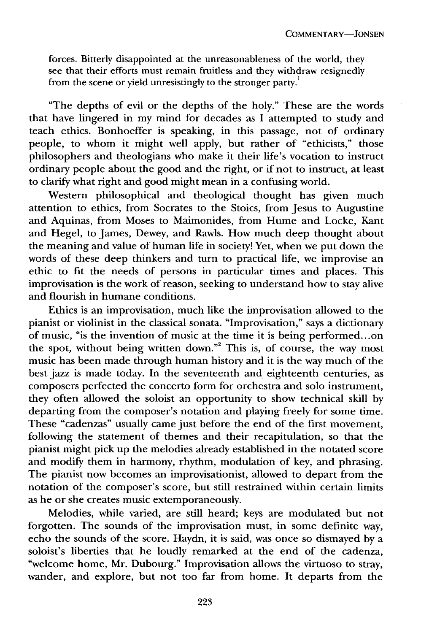forces. Bitterly disappointed at the unreasonableness of the world, they see that their efforts must remain fruitless and they withdraw resignedly from the scene or yield unresistingly to the stronger party.<sup>1</sup>

"The depths of evil or the depths of the holy." These are the words that have lingered in my mind for decades as I attempted to study and teach ethics. Bonhoeffer is speaking, in this passage. not of ordinary people, to whom it might well apply, but rather of "ethicists," those philosophers and theologians who make it their life's vocation to instruct ordinary people about the good and the right, or if not to instruct, at least to clarify what right and good might mean in a confusing world.

Western philosophical and theological thought has given much attention to ethics, from Socrates to the Stoics, from Jesus to Augustine and Aquinas, from Moses to Maimonides, from Hume and Locke, Kant and Hegel, to James, Dewey, and Rawls. How much deep thought about the meaning and value of human life in society! Yet, when we put down the words of these deep thinkers and turn to practical life, we improvise an ethic to fit the needs of persons in particular times and places. This improvisation is the work of reason, seeking to understand how to stay alive and flourish in humane conditions.

Ethics is an improvisation, much like the improvisation allowed to the pianist or violinist in the classical sonata. "Improvisation," says a dictionary of music, "is the invention of music at the time it is being performed... on the spot, without being written down."<sup>2</sup> This is, of course, the way most music has been made through human history and it is the way much of the best jazz is made today. In the seventeenth and eighteenth centuries, as composers perfected the concerto form for orchestra and solo instrument, they often allowed the soloist an opportunity to show technical skill by departing from the composer's notation and playing freely for some time. These "cadenzas" usually came just before the end of the first movement, following the statement of themes and their recapitulation, so that the pianist might pick up the melodies already established in the notated score and modify them in harmony, rhythm, modulation of key, and phrasing. The pianist now becomes an improvisationist, allowed to depart from the notation of the composer's score, but still restrained within certain limits as he or she creates music extemporaneously.

Melodies, while varied, are still heard; keys are modulated but not forgotten. The sounds of the improvisation must, in some definite way, echo the sounds of the score. Haydn, it is said, was once so dismayed by a soloist's liberties that he loudly remarked at the end of the cadenza, "welcome home, Mr. Dubourg." Improvisation allows the virtuoso to stray, wander, and explore, but not too far from home. It departs from the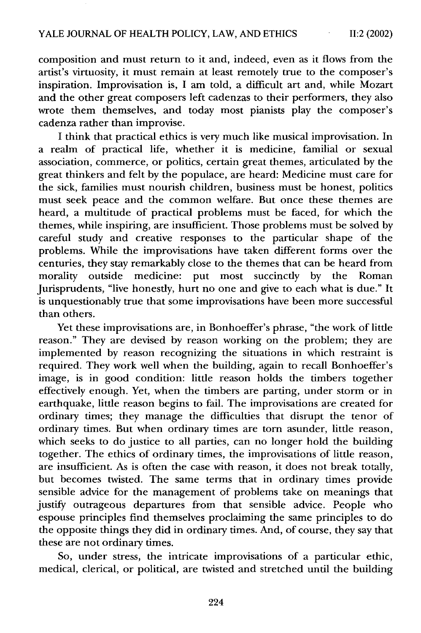composition and must return to it and, indeed, even as it flows from the artist's virtuosity, it must remain at least remotely true to the composer's inspiration. Improvisation is, I am told, a difficult art and, while Mozart and the other great composers left cadenzas to their performers, they also wrote them themselves, and today most pianists play the composer's cadenza rather than improvise.

I think that practical ethics is very much like musical improvisation. In a realm of practical life, whether it is medicine, familial or sexual association, commerce, or politics, certain great themes, articulated by the great thinkers and felt by the populace, are heard: Medicine must care for the sick, families must nourish children, business must be honest, politics must seek peace and the common welfare. But once these themes are heard, a multitude of practical problems must be faced, for which the themes, while inspiring, are insufficient. Those problems must be solved by careful study and creative responses to the particular shape of the problems. While the improvisations have taken different forms over the centuries, they stay remarkably close to the themes that can be heard from morality outside medicine: put most succinctly by the Roman Jurisprudents, "live honestly, hurt no one and give to each what is due." It is unquestionably true that some improvisations have been more successful than others.

Yet these improvisations are, in Bonhoeffer's phrase, "the work of little reason." They are devised by reason working on the problem; they are implemented by reason recognizing the situations in which restraint is required. They work well when the building, again to recall Bonhoeffer's image, is in good condition: little reason holds the timbers together effectively enough. Yet, when the timbers are parting, under storm or in earthquake, little reason begins to fail. The improvisations are created for ordinary times; they manage the difficulties that disrupt the tenor of ordinary times. But when ordinary times are torn asunder, little reason, which seeks to do justice to all parties, can no longer hold the building together. The ethics of ordinary times, the improvisations of little reason, are insufficient. As is often the case with reason, it does not break totally, but becomes twisted. The same terms that in ordinary times provide sensible advice for the management of problems take on meanings that justify outrageous departures from that sensible advice. People who espouse principles find themselves proclaiming the same principles to do the opposite things they did in ordinary times. And, of course, they say that these are not ordinary times.

So, under stress, the intricate improvisations of a particular ethic, medical, clerical, or political, are twisted and stretched until the building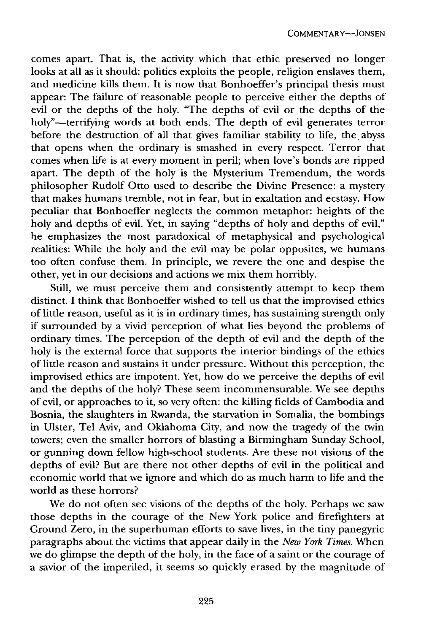comes apart. That is, the activity which that ethic preserved no longer looks at all as it should: politics exploits the people, religion enslaves them, and medicine kills them. It is now that Bonhoeffer's principal thesis must appear: The failure of reasonable people to perceive either the depths of evil or the depths of the holy. "The depths of evil or the depths of the holy"-terrifying words at both ends. The depth of evil generates terror before the destruction of all that gives familiar stability to life, the abyss that opens when the ordinary is smashed in every respect. Terror that comes when life is at every moment in peril; when love's bonds are ripped apart. The depth of the holy is the Mysterium Tremendum, the words philosopher Rudolf Otto used to describe the Divine Presence: a mystery that makes humans tremble, not in fear, but in exaltation and ecstasy. How peculiar that Bonhoeffer neglects the common metaphor: heights of the holy and depths of evil. Yet, in saying "depths of holy and depths of evil," he emphasizes the most paradoxical of metaphysical and psychological realities: While the holy and the evil may be polar opposites, we humans too often confuse them. In principle, we revere the one and despise the other, yet in our decisions and actions we mix them horribly.

Still, we must perceive them and consistently attempt to keep them distinct. I think that Bonhoeffer wished to tell us that the improvised ethics of little reason, useful as it is in ordinary times, has sustaining strength only if surrounded by a vivid perception of what lies beyond the problems of ordinary times. The perception of the depth of evil and the depth of the holy is the external force that supports the interior bindings of the ethics of little reason and sustains it under pressure. Without this perception, the improvised ethics are impotent. Yet, how do we perceive the depths of evil and the depths of the holy? These seem incommensurable. We see depths of evil, or approaches to it, so very often: the killing fields of Cambodia and Bosnia, the slaughters in Rwanda, the starvation in Somalia, the bombings in Ulster, Tel Aviv, and Oklahoma City, and now the tragedy of the twin towers; even the smaller horrors of blasting a Birmingham Sunday School, or gunning down fellow high-school students. Are these not visions of the depths of evil? But are there not other depths of evil in the political and economic world that we ignore and which do as much harm to life and the world as these horrors?

We do not often see visions of the depths of the holy. Perhaps we saw those depths in the courage of the New York police and firefighters at Ground Zero, in the superhuman efforts to save lives, in the tiny panegyric paragraphs about the victims that appear daily in the *New York Times.* When we do glimpse the depth of the holy, in the face of a saint or the courage of a savior of the imperiled, it seems so quickly erased by the magnitude of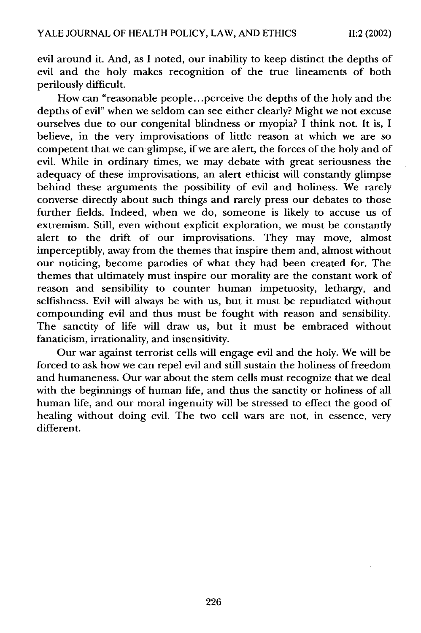evil around it. And, as I noted, our inability to keep distinct the depths of evil and the holy makes recognition of the true lineaments of both perilously difficult.

How can "reasonable people.. .perceive the depths of the holy and the depths of evil" when we seldom can see either clearly? Might we not excuse ourselves due to our congenital blindness or myopia? I think not. It is, I believe, in the very improvisations of little reason at which we are so competent that we can glimpse, if we are alert, the forces of the holy and of evil. While in ordinary times, we may debate with great seriousness the adequacy of these improvisations, an alert ethicist will constantly glimpse behind these arguments the possibility of evil and holiness. We rarely converse directly about such things and rarely press our debates to those further fields. Indeed, when we do, someone is likely to accuse us of extremism. Still, even without explicit exploration, we must be constantly alert to the drift of our improvisations. They may move, almost imperceptibly, away from the themes that inspire them and, almost without our noticing, become parodies of what they had been created for. The themes that ultimately must inspire our morality are the constant work of reason and sensibility to counter human impetuosity, lethargy, and selfishness. Evil will always be with us, but it must be repudiated without compounding evil and thus must be fought with reason and sensibility. The sanctity of life will draw us, but it must be embraced without fanaticism, irrationality, and insensitivity.

Our war against terrorist cells will engage evil and the holy. We will be forced to ask how we can repel evil and still sustain the holiness of freedom and humaneness. Our war about the stem cells must recognize that we deal with the beginnings of human life, and thus the sanctity or holiness of all human life, and our moral ingenuity will be stressed to effect the good of healing without doing evil. The two cell wars are not, in essence, very different.